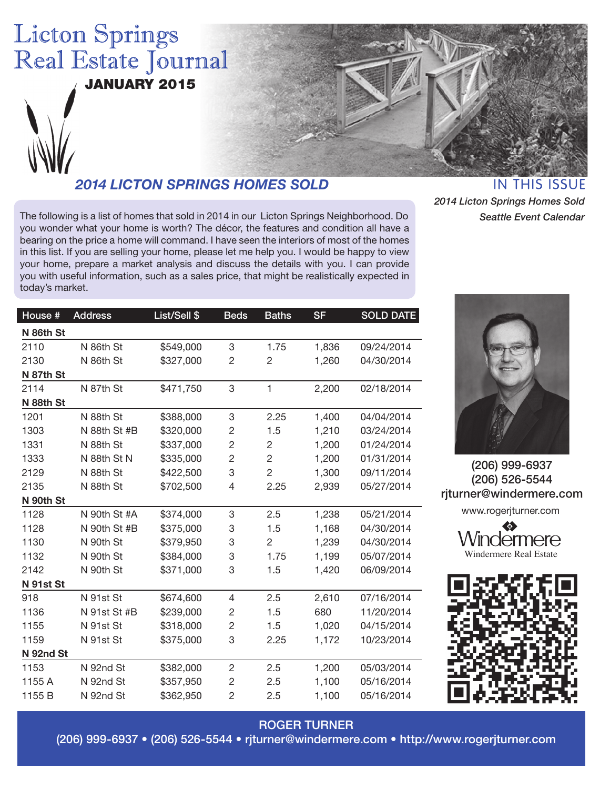# **Licton Springs** Real Estate Journal

JANUARY 2015



## *2014 LICTON SPRINGS HOMES SOLD*

The following is a list of homes that sold in 2014 in our Licton Springs Neighborhood. Do you wonder what your home is worth? The décor, the features and condition all have a bearing on the price a home will command. I have seen the interiors of most of the homes in this list. If you are selling your home, please let me help you. I would be happy to view your home, prepare a market analysis and discuss the details with you. I can provide you with useful information, such as a sales price, that might be realistically expected in today's market.

**IN THIS ISSUE** *2014 Licton Springs Homes Sold Seattle Event Calendar*

| House #   | <b>Address</b> | List/Sell \$ | <b>Beds</b>    | <b>Baths</b>   | <b>SF</b> | <b>SOLD DATE</b> |
|-----------|----------------|--------------|----------------|----------------|-----------|------------------|
| N 86th St |                |              |                |                |           |                  |
| 2110      | N 86th St      | \$549,000    | 3              | 1.75           | 1,836     | 09/24/2014       |
| 2130      | N 86th St      | \$327,000    | $\overline{c}$ | $\overline{c}$ | 1,260     | 04/30/2014       |
| N 87th St |                |              |                |                |           |                  |
| 2114      | N 87th St      | \$471,750    | 3              | $\mathbf{1}$   | 2,200     | 02/18/2014       |
| N 88th St |                |              |                |                |           |                  |
| 1201      | N 88th St      | \$388,000    | 3              | 2.25           | 1,400     | 04/04/2014       |
| 1303      | N 88th St #B   | \$320,000    | $\overline{c}$ | 1.5            | 1,210     | 03/24/2014       |
| 1331      | N 88th St      | \$337,000    | $\overline{c}$ | $\overline{c}$ | 1,200     | 01/24/2014       |
| 1333      | N 88th St N    | \$335,000    | $\overline{c}$ | $\overline{c}$ | 1,200     | 01/31/2014       |
| 2129      | N 88th St      | \$422,500    | 3              | $\overline{c}$ | 1,300     | 09/11/2014       |
| 2135      | N 88th St      | \$702,500    | 4              | 2.25           | 2,939     | 05/27/2014       |
| N 90th St |                |              |                |                |           |                  |
| 1128      | N 90th St #A   | \$374,000    | 3              | 2.5            | 1,238     | 05/21/2014       |
| 1128      | N 90th St #B   | \$375,000    | 3              | 1.5            | 1,168     | 04/30/2014       |
| 1130      | N 90th St      | \$379,950    | 3              | $\overline{c}$ | 1,239     | 04/30/2014       |
| 1132      | N 90th St      | \$384,000    | 3              | 1.75           | 1,199     | 05/07/2014       |
| 2142      | N 90th St      | \$371,000    | 3              | 1.5            | 1,420     | 06/09/2014       |
| N 91st St |                |              |                |                |           |                  |
| 918       | N 91st St      | \$674,600    | $\overline{4}$ | 2.5            | 2,610     | 07/16/2014       |
| 1136      | N 91st St #B   | \$239,000    | $\overline{c}$ | 1.5            | 680       | 11/20/2014       |
| 1155      | N 91st St      | \$318,000    | $\overline{c}$ | 1.5            | 1,020     | 04/15/2014       |
| 1159      | N 91st St      | \$375,000    | 3              | 2.25           | 1,172     | 10/23/2014       |
| N 92nd St |                |              |                |                |           |                  |
| 1153      | N 92nd St      | \$382,000    | $\overline{2}$ | 2.5            | 1,200     | 05/03/2014       |
| 1155 A    | N 92nd St      | \$357,950    | $\overline{c}$ | 2.5            | 1,100     | 05/16/2014       |
| 1155 B    | N 92nd St      | \$362,950    | 2              | 2.5            | 1,100     | 05/16/2014       |

ROGER TURNER (206) 999-6937 • (206) 526-5544 • rjturner@windermere.com • http://www.rogerjturner.com



(206) 999-6937 (206) 526-5544 rjturner@windermere.com

www.rogerjturner.com

VVIndermere Windermere Real Estate

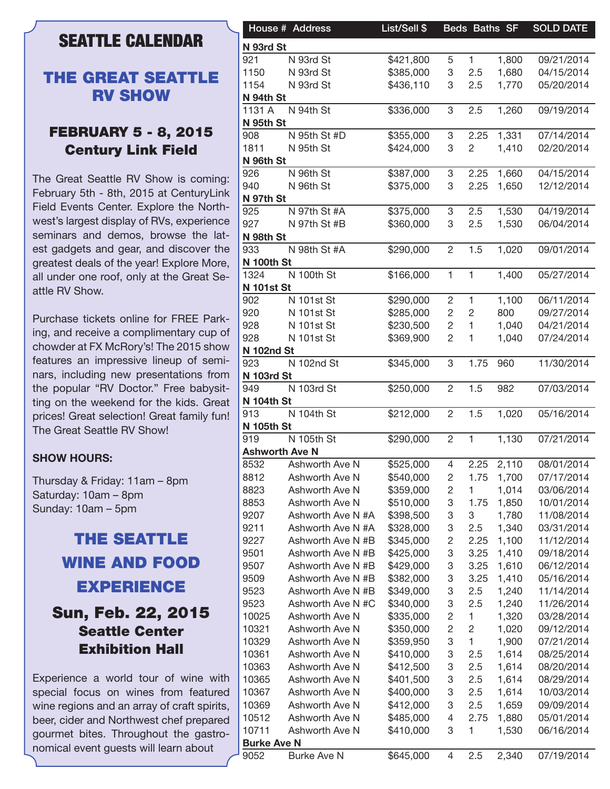### **SEATTLE CALENDAR**

#### THE GREAT SEATTLE RV SHOW

#### FEBRUARY 5 - 8, 2015 Century Link Field

The Great Seattle RV Show is coming: February 5th - 8th, 2015 at CenturyLink Field Events Center. Explore the Northwest's largest display of RVs, experience seminars and demos, browse the latest gadgets and gear, and discover the greatest deals of the year! Explore More, all under one roof, only at the Great Seattle RV Show.

Purchase tickets online for FREE Parking, and receive a complimentary cup of chowder at FX McRory's! The 2015 show features an impressive lineup of seminars, including new presentations from the popular "RV Doctor." Free babysitting on the weekend for the kids. Great prices! Great selection! Great family fun! The Great Seattle RV Show!

#### **SHOW HOURS:**

Thursday & Friday: 11am – 8pm Saturday: 10am – 8pm Sunday: 10am – 5pm

# THE SEATTLE WINE AND FOOD EXPERIENCE Sun, Feb. 22, 2015 Seattle Center

Experience a world tour of wine with special focus on wines from featured wine regions and an array of craft spirits, beer, cider and Northwest chef prepared gourmet bites. Throughout the gastronomical event guests will learn about

Exhibition Hall

|                            | House # Address       | List/Sell \$ |                | Beds Baths SF  |       | <b>SOLD DATE</b> |
|----------------------------|-----------------------|--------------|----------------|----------------|-------|------------------|
| N 93rd St                  |                       |              |                |                |       |                  |
| 921                        | N 93rd St             | \$421,800    | 5              | 1              | 1,800 | 09/21/2014       |
| 1150                       | N 93rd St             | \$385,000    | 3              | 2.5            | 1,680 | 04/15/2014       |
| 1154                       | N 93rd St             | \$436,110    | 3              | 2.5            | 1,770 | 05/20/2014       |
| N 94th St                  |                       |              |                |                |       |                  |
| 1131 A                     | N 94th St             | \$336,000    | 3              | 2.5            | 1,260 | 09/19/2014       |
| N 95th St                  |                       |              |                |                |       |                  |
| 908                        | N 95th St #D          | \$355,000    | 3              | 2.25           | 1,331 | 07/14/2014       |
| 1811                       | N 95th St             | \$424,000    | 3              | $\overline{c}$ | 1,410 | 02/20/2014       |
| N 96th St                  |                       |              |                |                |       |                  |
| 926                        | N 96th St             | \$387,000    | 3              | 2.25           | 1,660 | 04/15/2014       |
| 940                        | N 96th St             | \$375,000    | 3              | 2.25           | 1,650 | 12/12/2014       |
| N 97th St                  |                       |              |                |                |       |                  |
| 925                        | N 97th St #A          | \$375,000    | 3              | 2.5            | 1,530 | 04/19/2014       |
| 927                        | N 97th St #B          | \$360,000    | 3              | 2.5            | 1,530 | 06/04/2014       |
| N 98th St                  |                       |              |                |                |       |                  |
| 933                        | N 98th St #A          |              |                |                |       | 09/01/2014       |
|                            |                       | \$290,000    | $\overline{2}$ | 1.5            | 1,020 |                  |
| N 100th St                 |                       |              |                |                |       |                  |
| 1324                       | N 100th St            | \$166,000    | $\mathbf{1}$   | $\mathbf{1}$   | 1,400 | 05/27/2014       |
| <b>N 101st St</b>          |                       |              |                |                |       |                  |
| 902                        | N 101st St            | \$290,000    | $\overline{c}$ | 1              | 1,100 | 06/11/2014       |
| 920                        | <b>N</b> 101st St     | \$285,000    | $\sqrt{2}$     | $\overline{c}$ | 800   | 09/27/2014       |
| 928                        | <b>N</b> 101st St     | \$230,500    | $\overline{c}$ | 1              | 1,040 | 04/21/2014       |
| 928                        | N 101st St            | \$369,900    | 2              | 1              | 1,040 | 07/24/2014       |
| <b>N 102nd St</b>          |                       |              |                |                |       |                  |
| 923                        | N 102nd St            | \$345,000    | 3              | 1.75           | 960   | 11/30/2014       |
| N 103rd St                 |                       |              |                |                |       |                  |
| 949                        | N 103rd St            | \$250,000    | $\overline{2}$ | 1.5            | 982   | 07/03/2014       |
| <b>N 104th St</b>          |                       |              |                |                |       |                  |
| 913                        | N 104th St            | \$212,000    | $\overline{2}$ | 1.5            | 1,020 | 05/16/2014       |
| <b>N 105th St</b>          |                       |              |                |                |       |                  |
| 919                        | N 105th St            | \$290,000    | $\overline{2}$ | $\mathbf{1}$   | 1,130 | 07/21/2014       |
|                            | <b>Ashworth Ave N</b> |              |                |                |       |                  |
| 8532                       | Ashworth Ave N        | \$525,000    | 4              | 2.25           | 2,110 | 08/01/2014       |
| 8812                       | Ashworth Ave N        | \$540,000    | $\overline{c}$ | 1.75           | 1,700 | 07/17/2014       |
| 8823                       | Ashworth Ave N        | \$359,000    | $\overline{c}$ |                | 1,014 | 03/06/2014       |
| 8853                       | Ashworth Ave N        | \$510,000    | 3              | 1.75           | 1,850 | 10/01/2014       |
| 9207                       | Ashworth Ave N #A     | \$398,500    | 3              | 3              | 1,780 | 11/08/2014       |
|                            |                       |              |                |                |       |                  |
| 9211                       | Ashworth Ave N #A     | \$328,000    | 3              | 2.5            | 1,340 | 03/31/2014       |
| 9227                       | Ashworth Ave N #B     | \$345,000    | 2              | 2.25           | 1,100 | 11/12/2014       |
| 9501                       | Ashworth Ave N #B     | \$425,000    | 3              | 3.25           | 1,410 | 09/18/2014       |
| 9507                       | Ashworth Ave N #B     | \$429,000    | 3              | 3.25           | 1,610 | 06/12/2014       |
| 9509                       | Ashworth Ave N #B     | \$382,000    | 3              | 3.25           | 1,410 | 05/16/2014       |
| 9523                       | Ashworth Ave N #B     | \$349,000    | 3              | 2.5            | 1,240 | 11/14/2014       |
| 9523                       | Ashworth Ave N #C     | \$340,000    | 3              | 2.5            | 1,240 | 11/26/2014       |
| 10025                      | Ashworth Ave N        | \$335,000    | 2              | 1              | 1,320 | 03/28/2014       |
| 10321                      | Ashworth Ave N        | \$350,000    | $\overline{c}$ | 2              | 1,020 | 09/12/2014       |
| 10329                      | Ashworth Ave N        | \$359,950    | 3              | 1              | 1,900 | 07/21/2014       |
| 10361                      | Ashworth Ave N        | \$410,000    | 3              | 2.5            | 1,614 | 08/25/2014       |
| 10363                      | Ashworth Ave N        | \$412,500    | 3              | 2.5            | 1,614 | 08/20/2014       |
| 10365                      | Ashworth Ave N        | \$401,500    | 3              | 2.5            | 1,614 | 08/29/2014       |
| 10367                      | Ashworth Ave N        | \$400,000    | 3              | 2.5            | 1,614 | 10/03/2014       |
| 10369                      | Ashworth Ave N        | \$412,000    | 3              | 2.5            | 1,659 | 09/09/2014       |
|                            |                       | \$485,000    | 4              | 2.75           | 1,880 | 05/01/2014       |
|                            |                       |              |                |                |       |                  |
| 10512                      | Ashworth Ave N        |              |                |                |       |                  |
| 10711                      | Ashworth Ave N        | \$410,000    | 3              |                | 1,530 | 06/16/2014       |
| <b>Burke Ave N</b><br>9052 | <b>Burke Ave N</b>    | \$645,000    | 4              | 2.5            | 2,340 | 07/19/2014       |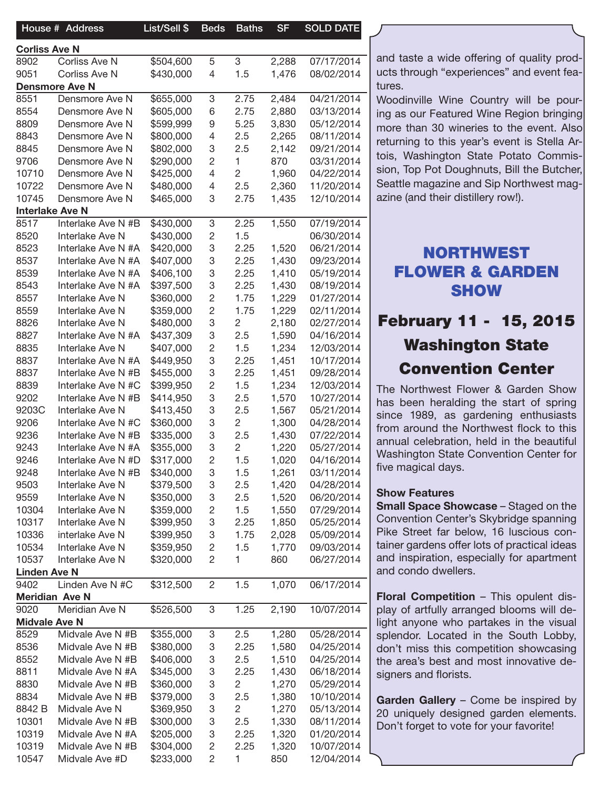|                      | House # Address        | List/Sell \$ | <b>Beds</b>  | <b>Baths</b>   | <b>SF</b> | <b>SOLD DATE</b> |
|----------------------|------------------------|--------------|--------------|----------------|-----------|------------------|
| <b>Corliss Ave N</b> |                        |              |              |                |           |                  |
| 8902                 | Corliss Ave N          | \$504,600    | 5            | 3              | 2,288     | 07/17/2014       |
| 9051                 | Corliss Ave N          | \$430,000    | 4            | 1.5            | 1,476     | 08/02/2014       |
|                      | <b>Densmore Ave N</b>  |              |              |                |           |                  |
| 8551                 | Densmore Ave N         | \$655,000    | 3            | 2.75           | 2,484     | 04/21/2014       |
| 8554                 | Densmore Ave N         | \$605,000    | 6            | 2.75           | 2,880     | 03/13/2014       |
| 8809                 | Densmore Ave N         | \$599,999    | 9            | 5.25           | 3,830     | 05/12/2014       |
| 8843                 | Densmore Ave N         | \$800,000    | 4            | 2.5            | 2,265     | 08/11/2014       |
| 8845                 | Densmore Ave N         | \$802,000    | 3            | 2.5            | 2,142     | 09/21/2014       |
| 9706                 | Densmore Ave N         | \$290,000    | 2            | 1.             | 870       | 03/31/2014       |
| 10710                | Densmore Ave N         | \$425,000    | 4            | 2              | 1,960     | 04/22/2014       |
| 10722                | Densmore Ave N         | \$480,000    | 4            | 2.5            | 2,360     | 11/20/2014       |
| 10745                | Densmore Ave N         | \$465,000    | 3            | 2.75           | 1,435     | 12/10/2014       |
|                      | <b>Interlake Ave N</b> |              |              |                |           |                  |
| 8517                 | Interlake Ave N #B     | \$430,000    | 3            | 2.25           | 1,550     | 07/19/2014       |
| 8520                 | Interlake Ave N        | \$430,000    | 2            | 1.5            |           | 06/30/2014       |
| 8523                 | Interlake Ave N #A     | \$420,000    | 3            | 2.25           | 1,520     | 06/21/2014       |
| 8537                 | Interlake Ave N #A     | \$407,000    | 3            | 2.25           | 1,430     | 09/23/2014       |
| 8539                 | Interlake Ave N #A     | \$406,100    | 3            | 2.25           | 1,410     | 05/19/2014       |
| 8543                 | Interlake Ave N #A     | \$397,500    | 3            | 2.25           | 1,430     | 08/19/2014       |
| 8557                 | Interlake Ave N        | \$360,000    | 2            | 1.75           | 1,229     | 01/27/2014       |
| 8559                 | Interlake Ave N        | \$359,000    | 2            | 1.75           | 1,229     | 02/11/2014       |
| 8826                 | Interlake Ave N        | \$480,000    | 3            | 2              | 2,180     | 02/27/2014       |
| 8827                 | Interlake Ave N #A     | \$437,309    | 3            | 2.5            | 1,590     | 04/16/2014       |
| 8835                 | Interlake Ave N        | \$407,000    | 2            | 1.5            | 1,234     | 12/03/2014       |
| 8837                 | Interlake Ave N #A     | \$449,950    | 3            | 2.25           | 1,451     | 10/17/2014       |
| 8837                 | Interlake Ave N#B      | \$455,000    | 3            | 2.25           | 1,451     | 09/28/2014       |
| 8839                 | Interlake Ave N#C      | \$399,950    | 2            | 1.5            | 1,234     | 12/03/2014       |
| 9202                 | Interlake Ave N #B     | \$414,950    | 3            | 2.5            | 1,570     | 10/27/2014       |
| 9203C                | Interlake Ave N        | \$413,450    | 3            | 2.5            | 1,567     | 05/21/2014       |
| 9206                 | Interlake Ave N #C     | \$360,000    | 3            | $\overline{c}$ | 1,300     | 04/28/2014       |
| 9236                 | Interlake Ave N #B     | \$335,000    | 3            | 2.5            | 1,430     | 07/22/2014       |
| 9243                 | Interlake Ave N #A     | \$355,000    | 3            | 2              | 1,220     | 05/27/2014       |
| 9246                 | Interlake Ave N #D     | \$317,000    | 2            | 1.5            | 1,020     | 04/16/2014       |
| 9248                 | Interlake Ave N #B     | \$340,000    | 3            | 1.5            | 1,261     | 03/11/2014       |
| 9503                 | Interlake Ave N        | \$379,500    | 3            | 2.5            | 1,420     | 04/28/2014       |
| 9559                 | Interlake Ave N        | \$350,000    | 3            | 2.5            | 1,520     | 06/20/2014       |
| 10304                | Interlake Ave N        | \$359,000    | 2            | 1.5            | 1,550     | 07/29/2014       |
| 10317                | Interlake Ave N        | \$399,950    | 3            | 2.25           | 1,850     | 05/25/2014       |
| 10336                | interlake Ave N        | \$399,950    | 3            | 1.75           | 2,028     | 05/09/2014       |
| 10534                | Interlake Ave N        | \$359,950    | 2            | 1.5            | 1,770     | 09/03/2014       |
| 10537                | Interlake Ave N        | \$320,000    | 2            | 1.             | 860       | 06/27/2014       |
| <b>Linden Ave N</b>  |                        |              |              |                |           |                  |
| 9402                 | Linden Ave N #C        | \$312,500    | $\mathbf{2}$ | 1.5            | 1,070     | 06/17/2014       |
|                      | <b>Meridian Ave N</b>  |              |              |                |           |                  |
| 9020                 | Meridian Ave N         | \$526,500    | 3            | 1.25           | 2,190     | 10/07/2014       |
| <b>Midvale Ave N</b> |                        |              |              |                |           |                  |
| 8529                 | Midvale Ave N #B       | \$355,000    | 3            | 2.5            | 1,280     | 05/28/2014       |
| 8536                 | Midvale Ave N #B       | \$380,000    | 3            | 2.25           | 1,580     | 04/25/2014       |
| 8552                 | Midvale Ave N #B       | \$406,000    | 3            | 2.5            | 1,510     | 04/25/2014       |
| 8811                 | Midvale Ave N #A       | \$345,000    | 3            | 2.25           | 1,430     | 06/18/2014       |
| 8830                 | Midvale Ave N #B       | \$360,000    | 3            | 2              | 1,270     | 05/29/2014       |
| 8834                 | Midvale Ave N #B       | \$379,000    | 3            | 2.5            | 1,380     | 10/10/2014       |
| 8842 B               | Midvale Ave N          | \$369,950    | 3            | $\overline{c}$ | 1,270     | 05/13/2014       |
| 10301                | Midvale Ave N #B       | \$300,000    | 3            | 2.5            | 1,330     | 08/11/2014       |
| 10319                | Midvale Ave N #A       | \$205,000    | 3            | 2.25           | 1,320     | 01/20/2014       |
| 10319                | Midvale Ave N #B       | \$304,000    | 2            | 2.25           | 1,320     | 10/07/2014       |
| 10547                | Midvale Ave #D         | \$233,000    | 2            |                | 850       | 12/04/2014       |
|                      |                        |              |              |                |           |                  |

and taste a wide offering of quality products through "experiences" and event features.

Woodinville Wine Country will be pouring as our Featured Wine Region bringing more than 30 wineries to the event. Also returning to this year's event is Stella Artois, Washington State Potato Commission, Top Pot Doughnuts, Bill the Butcher, Seattle magazine and Sip Northwest magazine (and their distillery row!).

## NORTHWEST FLOWER & GARDEN **SHOW**

# February 11 - 15, 2015 Washington State Convention Center

The Northwest Flower & Garden Show has been heralding the start of spring since 1989, as gardening enthusiasts from around the Northwest flock to this annual celebration, held in the beautiful Washington State Convention Center for five magical days.

#### Show Features

Small Space Showcase – Staged on the Convention Center's Skybridge spanning Pike Street far below, 16 luscious container gardens offer lots of practical ideas and inspiration, especially for apartment and condo dwellers.

Floral Competition – This opulent display of artfully arranged blooms will delight anyone who partakes in the visual splendor. Located in the South Lobby, don't miss this competition showcasing the area's best and most innovative designers and florists.

Garden Gallery - Come be inspired by 20 uniquely designed garden elements. Don't forget to vote for your favorite!